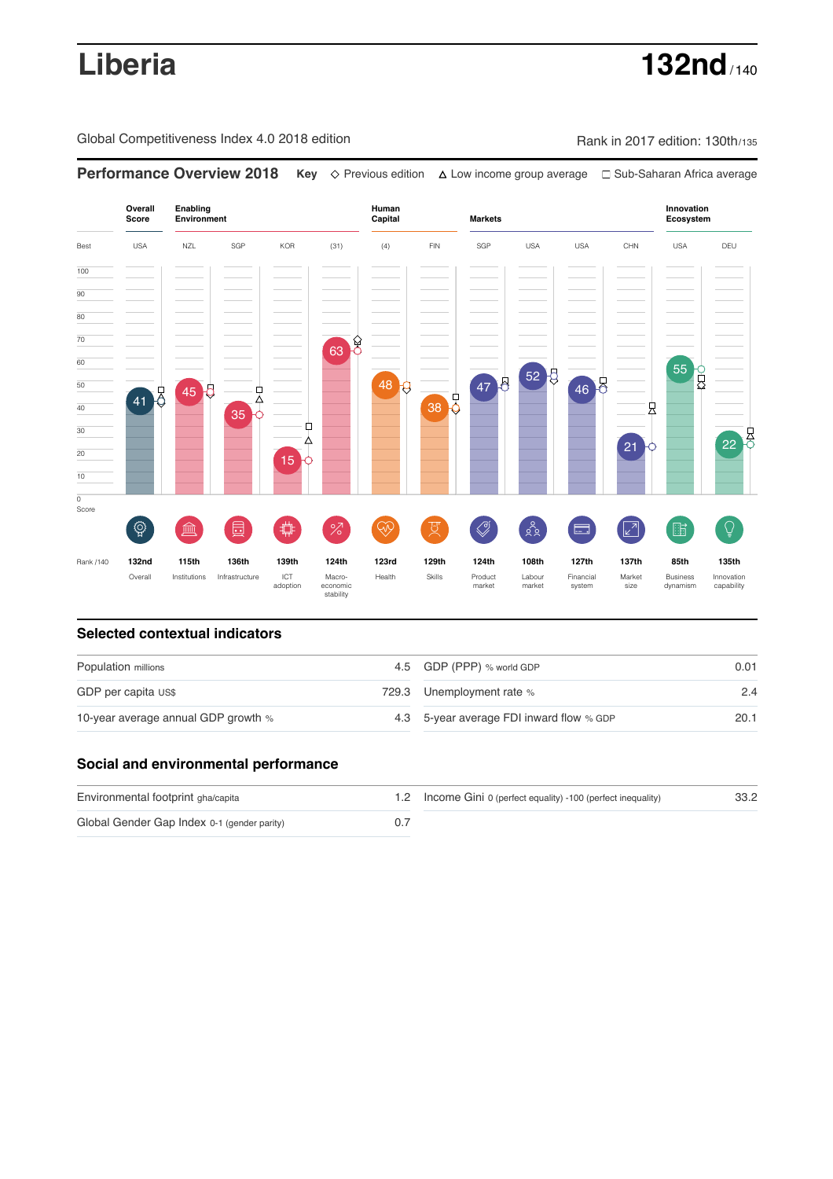**Liberia 132nd** / 140

Global Competitiveness Index 4.0 2018 edition Rank in 2017 edition: 130th/135

**Overall Innovation Enabling Environment Human Capital Markets Score Ecosystem** Best USA NZL SGP KOR (31) (4) FIN SGP USA USA CHN USA DEU 100  $\overline{90}$ 80 70 63 8 60 55 PO 52 50 47 8 46 8 48 p 45 8 ¢ 모<br>수 38 O 41 40  $\overline{\mathsf{R}}$ 35 Ò 30 22 8 ∆ 21 20 15 10  $\overline{\text{o}}$ Score ៍{៌្ម}  $\bigotimes$  $28$ **ledge (** đ %)(  $\circledcirc$  ( ਸ਼ੁ 击  $\boxed{2}$ 酯  $\overline{Q}$ E Rank /140 **132nd 115th 136th 139th 124th 123rd 129th 124th 108th 127th 137th 85th 135th** Overall Institutions Infrastructure ICT<br>adoption adoption Macro- economic stability Health Skills Product market Labour<br>market Financial system Market size Business dynamism Innovation capability

**Performance Overview 2018 Key** Previous edition Low income group average Sub-Saharan Africa average

### **Selected contextual indicators**

| Population millions                 |  | 4.5 GDP (PPP) % world GDP                | 0.01 |  |
|-------------------------------------|--|------------------------------------------|------|--|
| GDP per capita US\$                 |  | 729.3 Unemployment rate %                | 2.4  |  |
| 10-year average annual GDP growth % |  | 4.3 5-year average FDI inward flow % GDP | 20.1 |  |

## **Social and environmental performance**

| Environmental footprint gha/capita          | 1.2 Income Gini 0 (perfect equality) -100 (perfect inequality) | 33.2 |
|---------------------------------------------|----------------------------------------------------------------|------|
| Global Gender Gap Index 0-1 (gender parity) |                                                                |      |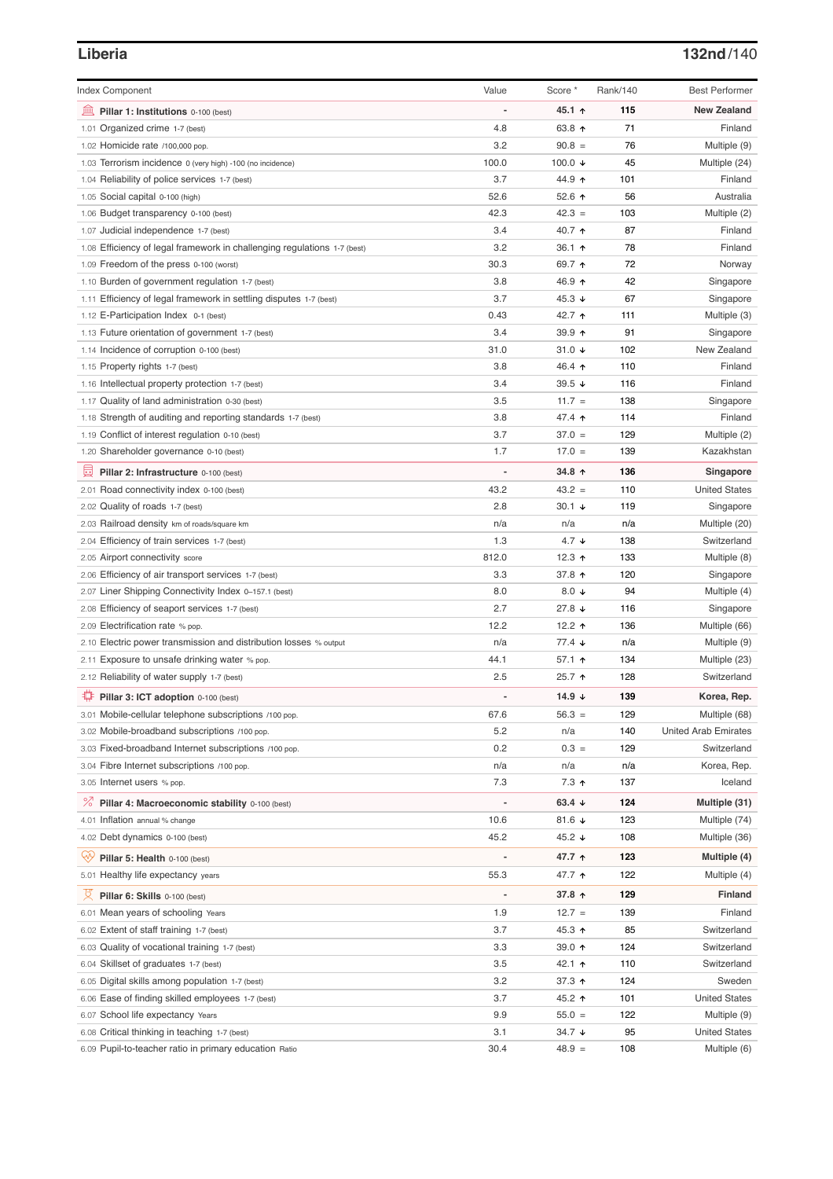# **Liberia 132nd**/140

| <b>Index Component</b>                                                   | Value          | Score *              | Rank/140 | <b>Best Performer</b>       |
|--------------------------------------------------------------------------|----------------|----------------------|----------|-----------------------------|
|                                                                          |                |                      |          |                             |
| Pillar 1: Institutions 0-100 (best)                                      |                | 45.1 ↑               | 115      | <b>New Zealand</b>          |
| 1.01 Organized crime 1-7 (best)                                          | 4.8            | 63.8 ↑               | 71       | Finland                     |
| 1.02 Homicide rate /100,000 pop.                                         | 3.2            | $90.8 =$             | 76       | Multiple (9)                |
| 1.03 Terrorism incidence 0 (very high) -100 (no incidence)               | 100.0          | 100.0 $\downarrow$   | 45       | Multiple (24)               |
| 1.04 Reliability of police services 1-7 (best)                           | 3.7            | 44.9 ↑               | 101      | Finland                     |
| 1.05 Social capital 0-100 (high)                                         | 52.6           | 52.6 $\uparrow$      | 56       | Australia                   |
| 1.06 Budget transparency 0-100 (best)                                    | 42.3           | $42.3 =$             | 103      | Multiple (2)                |
| 1.07 Judicial independence 1-7 (best)                                    | 3.4            | 40.7 ↑               | 87       | Finland                     |
| 1.08 Efficiency of legal framework in challenging regulations 1-7 (best) | 3.2            | 36.1 ↑               | 78       | Finland                     |
| 1.09 Freedom of the press 0-100 (worst)                                  | 30.3           | 69.7 ↑               | 72       | Norway                      |
| 1.10 Burden of government regulation 1-7 (best)                          | 3.8            | 46.9 ↑               | 42       | Singapore                   |
| 1.11 Efficiency of legal framework in settling disputes 1-7 (best)       | 3.7            | 45.3 $\sqrt{ }$      | 67       | Singapore                   |
| 1.12 E-Participation Index 0-1 (best)                                    | 0.43           | 42.7 ↑               | 111      | Multiple (3)                |
| 1.13 Future orientation of government 1-7 (best)                         | 3.4            | 39.9 ↑               | 91       | Singapore                   |
| 1.14 Incidence of corruption 0-100 (best)                                | 31.0           | 31.0 $\sqrt{ }$      | 102      | New Zealand                 |
| 1.15 Property rights 1-7 (best)                                          | 3.8            | 46.4 ↑               | 110      | Finland                     |
| 1.16 Intellectual property protection 1-7 (best)                         | 3.4            | 39.5 $\sqrt{ }$      | 116      | Finland                     |
| 1.17 Quality of land administration 0-30 (best)                          | 3.5            | $11.7 =$             | 138      | Singapore                   |
| 1.18 Strength of auditing and reporting standards 1-7 (best)             | 3.8            | 47.4 ↑               | 114      | Finland                     |
| 1.19 Conflict of interest regulation 0-10 (best)                         | 3.7            | $37.0 =$             | 129      | Multiple (2)                |
| 1.20 Shareholder governance 0-10 (best)                                  | 1.7            | $17.0 =$             | 139      | Kazakhstan                  |
| 員<br>Pillar 2: Infrastructure 0-100 (best)                               |                | 34.8 ↑               | 136      | Singapore                   |
| 2.01 Road connectivity index 0-100 (best)                                | 43.2           | $43.2 =$             | 110      | <b>United States</b>        |
| 2.02 Quality of roads 1-7 (best)                                         | 2.8            | $30.1 +$             | 119      | Singapore                   |
| 2.03 Railroad density km of roads/square km                              | n/a            | n/a                  | n/a      | Multiple (20)               |
| 2.04 Efficiency of train services 1-7 (best)                             | 1.3            | $4.7 \downarrow$     | 138      | Switzerland                 |
| 2.05 Airport connectivity score                                          | 812.0          | 12.3 $\uparrow$      | 133      | Multiple (8)                |
| 2.06 Efficiency of air transport services 1-7 (best)                     | 3.3            | 37.8 ↑               | 120      | Singapore                   |
| 2.07 Liner Shipping Connectivity Index 0-157.1 (best)                    | 8.0            | 8.0 $\downarrow$     | 94       | Multiple (4)                |
| 2.08 Efficiency of seaport services 1-7 (best)                           | 2.7            | 27.8 $\sqrt{ }$      | 116      | Singapore                   |
| 2.09 Electrification rate % pop.                                         | 12.2           | 12.2 $\uparrow$      | 136      | Multiple (66)               |
| 2.10 Electric power transmission and distribution losses % output        | n/a            | $77.4 \; \downarrow$ | n/a      | Multiple (9)                |
| 2.11 Exposure to unsafe drinking water % pop.                            | 44.1           | 57.1 $\uparrow$      | 134      | Multiple (23)               |
| 2.12 Reliability of water supply 1-7 (best)                              | 2.5            | 25.7 ↑               | 128      | Switzerland                 |
| ₽<br>Pillar 3: ICT adoption 0-100 (best)                                 |                | 14.9 $\sqrt{ }$      | 139      | Korea, Rep.                 |
| 3.01 Mobile-cellular telephone subscriptions /100 pop.                   | 67.6           | $56.3 =$             | 129      | Multiple (68)               |
| 3.02 Mobile-broadband subscriptions /100 pop.                            | 5.2            | n/a                  | 140      | <b>United Arab Emirates</b> |
| 3.03 Fixed-broadband Internet subscriptions /100 pop.                    | 0.2            | $0.3 =$              | 129      | Switzerland                 |
| 3.04 Fibre Internet subscriptions /100 pop.                              | n/a            | n/a                  | n/a      | Korea, Rep.                 |
| 3.05 Internet users % pop.                                               | 7.3            | $7.3$ ↑              | 137      | Iceland                     |
| <sup>%</sup> Pillar 4: Macroeconomic stability 0-100 (best)              | $\overline{a}$ | 63.4 $\sqrt{ }$      | 124      | Multiple (31)               |
|                                                                          |                |                      |          |                             |
| 4.01 Inflation annual % change                                           | 10.6           | 81.6 $\sqrt{ }$      | 123      | Multiple (74)               |
| 4.02 Debt dynamics 0-100 (best)                                          | 45.2           | 45.2 $\sqrt{ }$      | 108      | Multiple (36)               |
| Qiy<br>Pillar 5: Health 0-100 (best)                                     |                | 47.7 ተ               | 123      | Multiple (4)                |
| 5.01 Healthy life expectancy years                                       | 55.3           | 47.7 1               | 122      | Multiple (4)                |
| 섯<br>Pillar 6: Skills 0-100 (best)                                       |                | 37.8 个               | 129      | Finland                     |
| 6.01 Mean years of schooling Years                                       | 1.9            | $12.7 =$             | 139      | Finland                     |
| 6.02 Extent of staff training 1-7 (best)                                 | 3.7            | 45.3 ↑               | 85       | Switzerland                 |
| 6.03 Quality of vocational training 1-7 (best)                           | 3.3            | 39.0 $\uparrow$      | 124      | Switzerland                 |
| 6.04 Skillset of graduates 1-7 (best)                                    | 3.5            | 42.1 ↑               | 110      | Switzerland                 |
| 6.05 Digital skills among population 1-7 (best)                          | 3.2            | 37.3 $\uparrow$      | 124      | Sweden                      |
| 6.06 Ease of finding skilled employees 1-7 (best)                        | 3.7            | 45.2 ↑               | 101      | <b>United States</b>        |
| 6.07 School life expectancy Years                                        | 9.9            | $55.0 =$             | 122      | Multiple (9)                |
| 6.08 Critical thinking in teaching 1-7 (best)                            | 3.1            | 34.7 $\downarrow$    | 95       | <b>United States</b>        |
| 6.09 Pupil-to-teacher ratio in primary education Ratio                   | 30.4           | $48.9 =$             | 108      | Multiple (6)                |